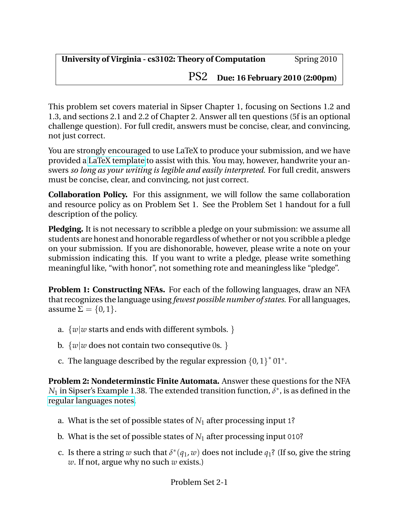PS2 **Due: 16 February 2010 (2:00pm)**

This problem set covers material in Sipser Chapter 1, focusing on Sections 1.2 and 1.3, and sections 2.1 and 2.2 of Chapter 2. Answer all ten questions (5f is an optional challenge question). For full credit, answers must be concise, clear, and convincing, not just correct.

You are strongly encouraged to use LaTeX to produce your submission, and we have provided a [LaTeX template](http://www.cs.virginia.edu/cs3102/ps/ps2/ps2-template.tex) to assist with this. You may, however, handwrite your answers *so long as your writing is legible and easily interpreted*. For full credit, answers must be concise, clear, and convincing, not just correct.

**Collaboration Policy.** For this assignment, we will follow the same collaboration and resource policy as on Problem Set 1. See the Problem Set 1 handout for a full description of the policy.

**Pledging.** It is not necessary to scribble a pledge on your submission: we assume all students are honest and honorable regardless of whether or not you scribble a pledge on your submission. If you are dishonorable, however, please write a note on your submission indicating this. If you want to write a pledge, please write something meaningful like, "with honor", not something rote and meaningless like "pledge".

**Problem 1: Constructing NFAs.** For each of the following languages, draw an NFA that recognizes the language using *fewest possible number of states*. For all languages, assume  $\Sigma = \{0, 1\}.$ 

- a.  $\{w|w$  starts and ends with different symbols.  $\}$
- b.  $\{w|w\}$  does not contain two consequtive 0s.  $\}$
- c. The language described by the regular expression  ${0,1}^*01^*$ .

**Problem 2: Nondeterminstic Finite Automata.** Answer these questions for the NFA  $N_1$  in Sipser's Example 1.38. The extended transition function,  $\delta^*$ , is as defined in the [regular languages notes.](http://www.cs.virginia.edu/evans/cs3102-s10/classes/class5/rl-notes.pdf)

- a. What is the set of possible states of *N*<sup>1</sup> after processing input 1?
- b. What is the set of possible states of  $N_1$  after processing input 010?
- c. Is there a string *w* such that  $\delta^*(q_1, w)$  does not include  $q_1$ ? (If so, give the string *w*. If not, argue why no such *w* exists.)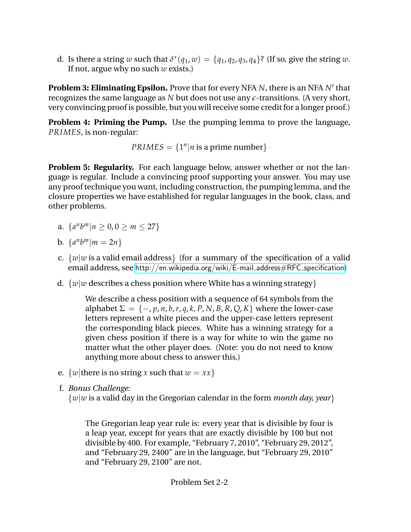d. Is there a string *w* such that  $\delta^*(q_1, w) = \{q_1, q_2, q_3, q_4\}$ ? (If so, give the string *w*. If not, argue why no such *w* exists.)

Problem 3: Eliminating Epsilon. Prove that for every NFA *N*, there is an NFA *N'* that recognizes the same language as *N* but does not use any *e*-transitions. (A very short, very convincing proof is possible, but you will receive some credit for a longer proof.)

**Problem 4: Priming the Pump.** Use the pumping lemma to prove the language, *PRIMES*, is non-regular:

 $PRIMES = \{1^n | n \text{ is a prime number}\}$ 

**Problem 5: Regularity.** For each language below, answer whether or not the language is regular. Include a convincing proof supporting your answer. You may use any proof technique you want, including construction, the pumping lemma, and the closure properties we have established for regular languages in the book, class, and other problems.

- a.  $\{a^n b^m | n \ge 0, 0 \ge m \le 27\}$
- b.  $\{a^n b^m | m = 2n\}$
- c.  $\{w|w\}$  is a valid email address  $\}$  (for a summary of the specification of a valid email address, see [http://en.wikipedia.org/wiki/E-mail](http://en.wikipedia.org/wiki/E-mail_address#RFC_specification)\_address#RFC\_specification)
- d.  $\{w|w$  describes a chess position where White has a winning strategy  $\}$

We describe a chess position with a sequence of 64 symbols from the alphabet  $\Sigma = \{-p, p, n, b, r, q, k, P, N, B, R, Q, K\}$  where the lower-case letters represent a white pieces and the upper-case letters represent the corresponding black pieces. White has a winning strategy for a given chess position if there is a way for white to win the game no matter what the other player does. (Note: you do not need to know anything more about chess to answer this.)

- e.  $\{w \mid \text{there is no string } x \text{ such that } w = xx\}$
- f. *Bonus Challenge:*

{*w*|*w* is a valid day in the Gregorian calendar in the form *month day, year*}

The Gregorian leap year rule is: every year that is divisible by four is a leap year, except for years that are exactly divisible by 100 but not divisible by 400. For example, "February 7, 2010", "February 29, 2012", and "February 29, 2400" are in the language, but "February 29, 2010" and "February 29, 2100" are not.